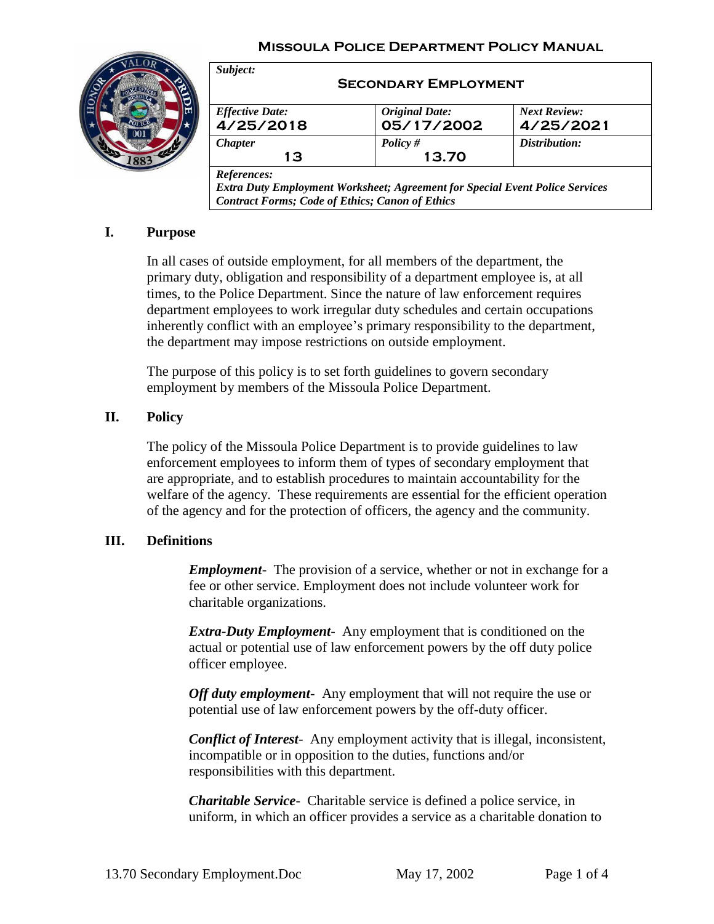#### **Missoula Police Department Policy Manual**



| <b>Effective Date:</b> | <b>Original Date:</b> | <b>Next Review:</b> |
|------------------------|-----------------------|---------------------|
| 4/25/2018              | 05/17/2002            | 4/25/2021           |
| <b>Chapter</b>         | Policy#               | Distribution:       |
| 13                     | 13.70                 |                     |

### **I. Purpose**

In all cases of outside employment, for all members of the department, the primary duty, obligation and responsibility of a department employee is, at all times, to the Police Department. Since the nature of law enforcement requires department employees to work irregular duty schedules and certain occupations inherently conflict with an employee's primary responsibility to the department, the department may impose restrictions on outside employment.

The purpose of this policy is to set forth guidelines to govern secondary employment by members of the Missoula Police Department.

### **II. Policy**

The policy of the Missoula Police Department is to provide guidelines to law enforcement employees to inform them of types of secondary employment that are appropriate, and to establish procedures to maintain accountability for the welfare of the agency. These requirements are essential for the efficient operation of the agency and for the protection of officers, the agency and the community.

### **III. Definitions**

*Employment-* The provision of a service, whether or not in exchange for a fee or other service. Employment does not include volunteer work for charitable organizations.

*Extra-Duty Employment-* Any employment that is conditioned on the actual or potential use of law enforcement powers by the off duty police officer employee.

*Off duty employment-* Any employment that will not require the use or potential use of law enforcement powers by the off-duty officer.

*Conflict of Interest-* Any employment activity that is illegal, inconsistent, incompatible or in opposition to the duties, functions and/or responsibilities with this department.

*Charitable Service-* Charitable service is defined a police service, in uniform, in which an officer provides a service as a charitable donation to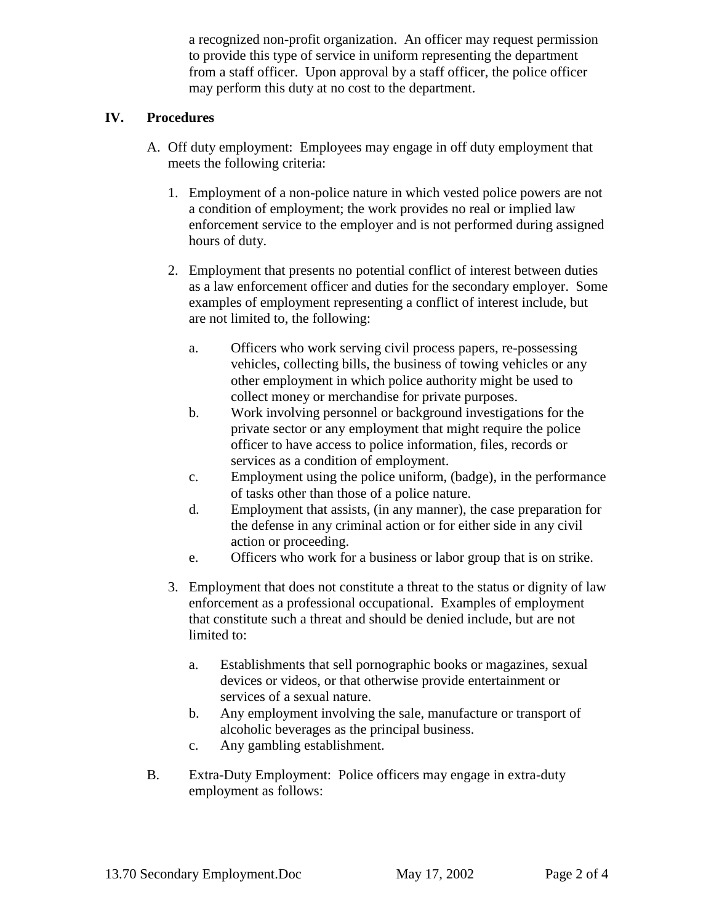a recognized non-profit organization. An officer may request permission to provide this type of service in uniform representing the department from a staff officer. Upon approval by a staff officer, the police officer may perform this duty at no cost to the department.

# **IV. Procedures**

- A. Off duty employment: Employees may engage in off duty employment that meets the following criteria:
	- 1. Employment of a non-police nature in which vested police powers are not a condition of employment; the work provides no real or implied law enforcement service to the employer and is not performed during assigned hours of duty.
	- 2. Employment that presents no potential conflict of interest between duties as a law enforcement officer and duties for the secondary employer. Some examples of employment representing a conflict of interest include, but are not limited to, the following:
		- a. Officers who work serving civil process papers, re-possessing vehicles, collecting bills, the business of towing vehicles or any other employment in which police authority might be used to collect money or merchandise for private purposes.
		- b. Work involving personnel or background investigations for the private sector or any employment that might require the police officer to have access to police information, files, records or services as a condition of employment.
		- c. Employment using the police uniform, (badge), in the performance of tasks other than those of a police nature.
		- d. Employment that assists, (in any manner), the case preparation for the defense in any criminal action or for either side in any civil action or proceeding.
		- e. Officers who work for a business or labor group that is on strike.
	- 3. Employment that does not constitute a threat to the status or dignity of law enforcement as a professional occupational. Examples of employment that constitute such a threat and should be denied include, but are not limited to:
		- a. Establishments that sell pornographic books or magazines, sexual devices or videos, or that otherwise provide entertainment or services of a sexual nature.
		- b. Any employment involving the sale, manufacture or transport of alcoholic beverages as the principal business.
		- c. Any gambling establishment.
- B. Extra-Duty Employment: Police officers may engage in extra-duty employment as follows: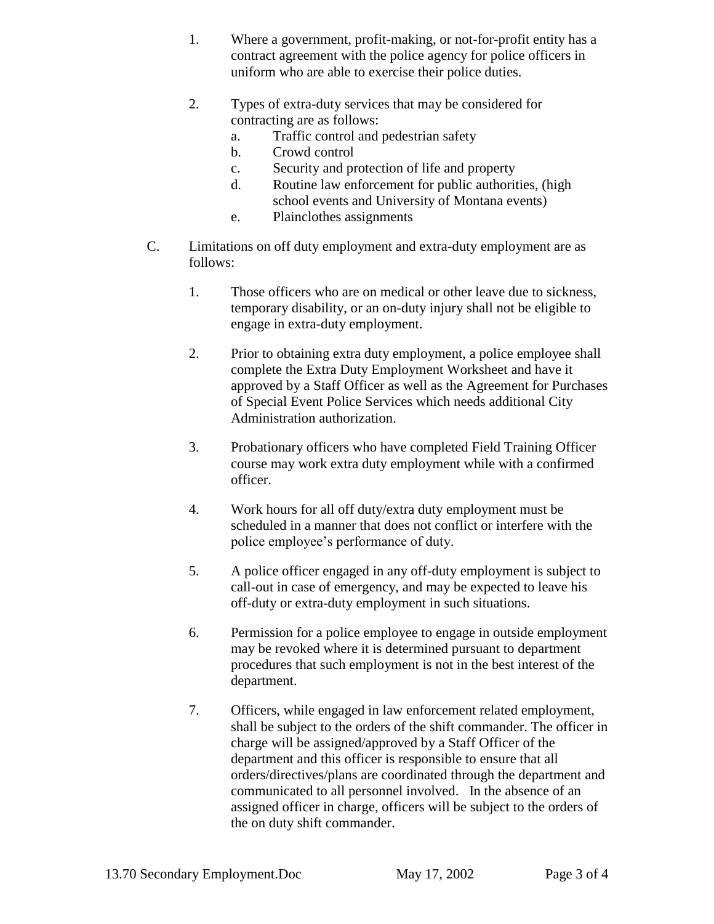- 1. Where a government, profit-making, or not-for-profit entity has a contract agreement with the police agency for police officers in uniform who are able to exercise their police duties.
- 2. Types of extra-duty services that may be considered for contracting are as follows:
	- a. Traffic control and pedestrian safety
	- b. Crowd control
	- c. Security and protection of life and property
	- d. Routine law enforcement for public authorities, (high school events and University of Montana events)
	- e. Plainclothes assignments
- C. Limitations on off duty employment and extra-duty employment are as follows:
	- 1. Those officers who are on medical or other leave due to sickness, temporary disability, or an on-duty injury shall not be eligible to engage in extra-duty employment.
	- 2. Prior to obtaining extra duty employment, a police employee shall complete the Extra Duty Employment Worksheet and have it approved by a Staff Officer as well as the Agreement for Purchases of Special Event Police Services which needs additional City Administration authorization.
	- 3. Probationary officers who have completed Field Training Officer course may work extra duty employment while with a confirmed officer.
	- 4. Work hours for all off duty/extra duty employment must be scheduled in a manner that does not conflict or interfere with the police employee's performance of duty.
	- 5. A police officer engaged in any off-duty employment is subject to call-out in case of emergency, and may be expected to leave his off-duty or extra-duty employment in such situations.
	- 6. Permission for a police employee to engage in outside employment may be revoked where it is determined pursuant to department procedures that such employment is not in the best interest of the department.
	- 7. Officers, while engaged in law enforcement related employment, shall be subject to the orders of the shift commander. The officer in charge will be assigned/approved by a Staff Officer of the department and this officer is responsible to ensure that all orders/directives/plans are coordinated through the department and communicated to all personnel involved. In the absence of an assigned officer in charge, officers will be subject to the orders of the on duty shift commander.